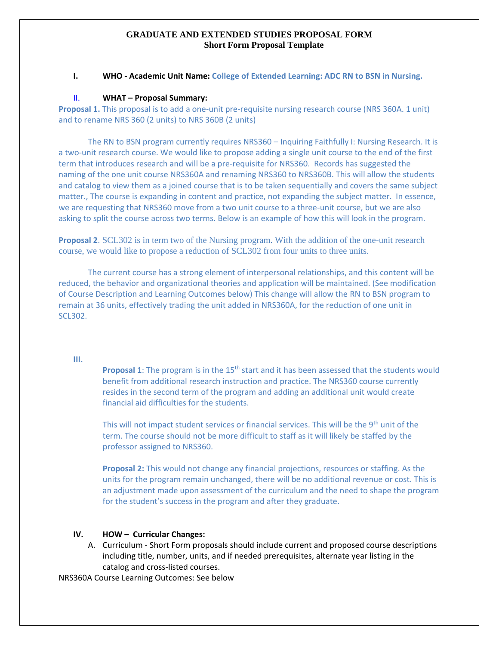## **GRADUATE AND EXTENDED STUDIES PROPOSAL FORM Short Form Proposal Template**

## **I. WHO - Academic Unit Name: College of Extended Learning: ADC RN to BSN in Nursing.**

## II. **WHAT – Proposal Summary:**

**Proposal 1.** This proposal is to add a one-unit pre-requisite nursing research course (NRS 360A. 1 unit) and to rename NRS 360 (2 units) to NRS 360B (2 units)

The RN to BSN program currently requires NRS360 – Inquiring Faithfully I: Nursing Research. It is a two-unit research course. We would like to propose adding a single unit course to the end of the first term that introduces research and will be a pre-requisite for NRS360. Records has suggested the naming of the one unit course NRS360A and renaming NRS360 to NRS360B. This will allow the students and catalog to view them as a joined course that is to be taken sequentially and covers the same subject matter., The course is expanding in content and practice, not expanding the subject matter. In essence, we are requesting that NRS360 move from a two unit course to a three-unit course, but we are also asking to split the course across two terms. Below is an example of how this will look in the program.

**Proposal 2**. SCL302 is in term two of the Nursing program. With the addition of the one-unit research course, we would like to propose a reduction of SCL302 from four units to three units.

The current course has a strong element of interpersonal relationships, and this content will be reduced, the behavior and organizational theories and application will be maintained. (See modification of Course Description and Learning Outcomes below) This change will allow the RN to BSN program to remain at 36 units, effectively trading the unit added in NRS360A, for the reduction of one unit in SCL302.

#### **III.**

**Proposal 1**: The program is in the 15<sup>th</sup> start and it has been assessed that the students would benefit from additional research instruction and practice. The NRS360 course currently resides in the second term of the program and adding an additional unit would create financial aid difficulties for the students.

This will not impact student services or financial services. This will be the 9<sup>th</sup> unit of the term. The course should not be more difficult to staff as it will likely be staffed by the professor assigned to NRS360.

**Proposal 2:** This would not change any financial projections, resources or staffing. As the units for the program remain unchanged, there will be no additional revenue or cost. This is an adjustment made upon assessment of the curriculum and the need to shape the program for the student's success in the program and after they graduate.

### **IV. HOW – Curricular Changes:**

A. Curriculum - Short Form proposals should include current and proposed course descriptions including title, number, units, and if needed prerequisites, alternate year listing in the catalog and cross-listed courses.

NRS360A Course Learning Outcomes: See below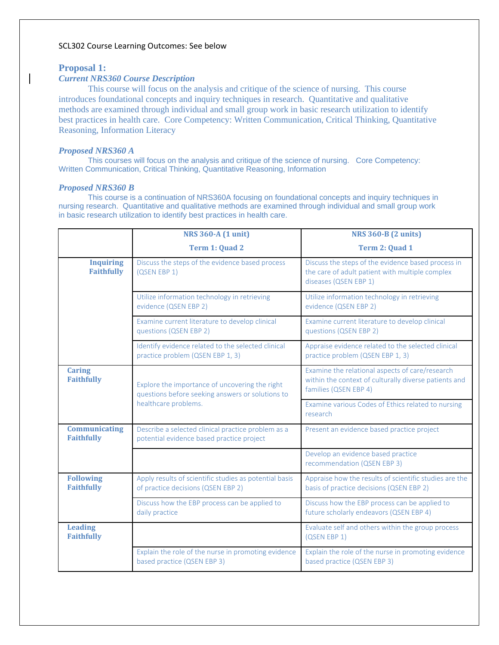## SCL302 Course Learning Outcomes: See below

## **Proposal 1:**

# *Current NRS360 Course Description*

This course will focus on the analysis and critique of the science of nursing. This course introduces foundational concepts and inquiry techniques in research. Quantitative and qualitative methods are examined through individual and small group work in basic research utilization to identify best practices in health care. Core Competency: Written Communication, Critical Thinking, Quantitative Reasoning, Information Literacy

## *Proposed NRS360 A*

This courses will focus on the analysis and critique of the science of nursing. Core Competency: Written Communication, Critical Thinking, Quantitative Reasoning, Information

## *Proposed NRS360 B*

This course is a continuation of NRS360A focusing on foundational concepts and inquiry techniques in nursing research. Quantitative and qualitative methods are examined through individual and small group work in basic research utilization to identify best practices in health care.

|                                       | <b>NRS 360-A (1 unit)</b>                                                                          | <b>NRS 360-B (2 units)</b>                                                                                                        |  |  |
|---------------------------------------|----------------------------------------------------------------------------------------------------|-----------------------------------------------------------------------------------------------------------------------------------|--|--|
|                                       | Term 1: Quad 2                                                                                     | Term 2: Quad 1                                                                                                                    |  |  |
| <b>Inquiring</b><br><b>Faithfully</b> | Discuss the steps of the evidence based process<br>(QSEN EBP 1)                                    | Discuss the steps of the evidence based process in<br>the care of adult patient with multiple complex<br>diseases (QSEN EBP 1)    |  |  |
|                                       | Utilize information technology in retrieving<br>evidence (QSEN EBP 2)                              | Utilize information technology in retrieving<br>evidence (QSEN EBP 2)                                                             |  |  |
|                                       | Examine current literature to develop clinical<br>questions (QSEN EBP 2)                           | Examine current literature to develop clinical<br>questions (QSEN EBP 2)                                                          |  |  |
|                                       | Identify evidence related to the selected clinical<br>practice problem (QSEN EBP 1, 3)             | Appraise evidence related to the selected clinical<br>practice problem (QSEN EBP 1, 3)                                            |  |  |
| <b>Caring</b><br><b>Faithfully</b>    | Explore the importance of uncovering the right<br>questions before seeking answers or solutions to | Examine the relational aspects of care/research<br>within the context of culturally diverse patients and<br>families (QSEN EBP 4) |  |  |
|                                       | healthcare problems.                                                                               | Examine various Codes of Ethics related to nursing<br>research                                                                    |  |  |
| Communicating<br><b>Faithfully</b>    | Describe a selected clinical practice problem as a<br>potential evidence based practice project    | Present an evidence based practice project                                                                                        |  |  |
|                                       |                                                                                                    | Develop an evidence based practice<br>recommendation (QSEN EBP 3)                                                                 |  |  |
| <b>Following</b><br><b>Faithfully</b> | Apply results of scientific studies as potential basis<br>of practice decisions (QSEN EBP 2)       | Appraise how the results of scientific studies are the<br>basis of practice decisions (QSEN EBP 2)                                |  |  |
|                                       | Discuss how the EBP process can be applied to<br>daily practice                                    | Discuss how the EBP process can be applied to<br>future scholarly endeavors (QSEN EBP 4)                                          |  |  |
| <b>Leading</b><br><b>Faithfully</b>   |                                                                                                    | Evaluate self and others within the group process<br>(QSEN EBP 1)                                                                 |  |  |
|                                       | Explain the role of the nurse in promoting evidence<br>based practice (QSEN EBP 3)                 | Explain the role of the nurse in promoting evidence<br>based practice (QSEN EBP 3)                                                |  |  |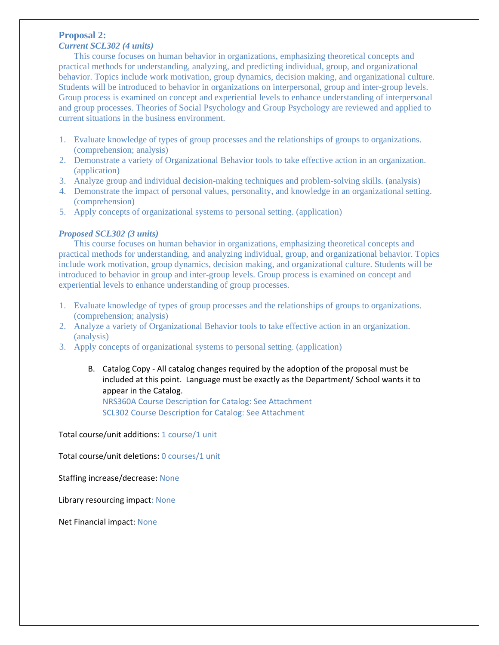# **Proposal 2:**

# *Current SCL302 (4 units)*

This course focuses on human behavior in organizations, emphasizing theoretical concepts and practical methods for understanding, analyzing, and predicting individual, group, and organizational behavior. Topics include work motivation, group dynamics, decision making, and organizational culture. Students will be introduced to behavior in organizations on interpersonal, group and inter-group levels. Group process is examined on concept and experiential levels to enhance understanding of interpersonal and group processes. Theories of Social Psychology and Group Psychology are reviewed and applied to current situations in the business environment.

- 1. Evaluate knowledge of types of group processes and the relationships of groups to organizations. (comprehension; analysis)
- 2. Demonstrate a variety of Organizational Behavior tools to take effective action in an organization. (application)
- 3. Analyze group and individual decision-making techniques and problem-solving skills. (analysis)
- 4. Demonstrate the impact of personal values, personality, and knowledge in an organizational setting. (comprehension)
- 5. Apply concepts of organizational systems to personal setting. (application)

## *Proposed SCL302 (3 units)*

This course focuses on human behavior in organizations, emphasizing theoretical concepts and practical methods for understanding, and analyzing individual, group, and organizational behavior. Topics include work motivation, group dynamics, decision making, and organizational culture. Students will be introduced to behavior in group and inter-group levels. Group process is examined on concept and experiential levels to enhance understanding of group processes.

- 1. Evaluate knowledge of types of group processes and the relationships of groups to organizations. (comprehension; analysis)
- 2. Analyze a variety of Organizational Behavior tools to take effective action in an organization. (analysis)
- 3. Apply concepts of organizational systems to personal setting. (application)
	- B. Catalog Copy All catalog changes required by the adoption of the proposal must be included at this point. Language must be exactly as the Department/ School wants it to appear in the Catalog.

NRS360A Course Description for Catalog: See Attachment SCL302 Course Description for Catalog: See Attachment

Total course/unit additions: 1 course/1 unit

Total course/unit deletions: 0 courses/1 unit

Staffing increase/decrease: None

Library resourcing impact: None

Net Financial impact: None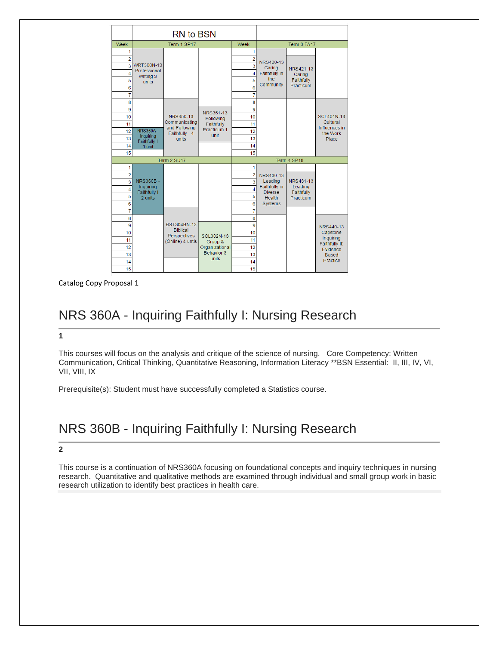|                | RN to BSN                    |                                       |                              |                |                          |                      |                           |
|----------------|------------------------------|---------------------------------------|------------------------------|----------------|--------------------------|----------------------|---------------------------|
| Week           |                              | Term 1 SP17                           |                              | Week           |                          | Term 3 FA17          |                           |
| 1              |                              |                                       |                              | 1              |                          |                      |                           |
| $\overline{2}$ |                              |                                       |                              | $\overline{2}$ | NRS420-13                |                      |                           |
| 3              | <b>WRT300N-13</b>            |                                       |                              | 3              | Caring                   | NRS421-13            |                           |
| 4              | Professional<br>Writing 3    |                                       |                              | 4              | Faithfully in            | Caring               |                           |
| 5              | units                        |                                       |                              | 5              | the                      | Faithfully           |                           |
| 6              |                              |                                       |                              | 6              | Community                | Practicum            |                           |
| $\overline{7}$ |                              |                                       |                              | $\overline{7}$ |                          |                      |                           |
| 8              |                              |                                       |                              | 8              |                          |                      |                           |
| 9              |                              |                                       | NRS351-13                    | 9              |                          |                      |                           |
| 10             |                              | NRS350-13                             | Following                    | 10             |                          |                      | <b>SCL401N-13</b>         |
| 11             |                              | Communicating<br>and Following        | Faithfully                   | 11             |                          |                      | Cultural<br>Influences in |
| 12             | <b>NRS360A -</b>             | Faithfully 4                          | Practicum 1<br>unit          | 12             |                          |                      | the Work                  |
| 13             | Inquiring<br>Faithfully I    | units                                 |                              | 13             |                          |                      | Place                     |
| 14             | 1 unit                       |                                       |                              | 14             |                          |                      |                           |
| 15             |                              |                                       |                              | 15             |                          |                      |                           |
| Term 2 SU17    |                              |                                       | Term 4 SP18                  |                |                          |                      |                           |
| 1              |                              |                                       |                              | 1              |                          |                      |                           |
| $\overline{a}$ |                              |                                       |                              | $\overline{2}$ | NRS430-13                |                      |                           |
| $\overline{3}$ | <b>NRS360B-</b><br>Inquiring |                                       |                              | 3              | Leading<br>Faithfully in | NRS431-13<br>Leading |                           |
| 4              | Faithfully I                 |                                       |                              | 4              | <b>Diverse</b>           | Faithfully           |                           |
| 5              | 2 units                      |                                       |                              | 5              | <b>Health</b>            | Practicum            |                           |
| 6              |                              |                                       |                              | 6              | Systems                  |                      |                           |
| $\overline{7}$ |                              |                                       |                              | 7              |                          |                      |                           |
| 8              |                              |                                       |                              | 8              |                          |                      |                           |
| 9              |                              | <b>BST304BN-13</b><br><b>Biblical</b> |                              | 9              |                          |                      | NRS440-13                 |
| 10             |                              | Perspectives                          | <b>SCL302N-13</b>            | 10             |                          |                      | Capstone<br>Inquiring     |
| 11             |                              | (Online) 4 untis                      | Group &                      | 11             |                          |                      | Faithfully II:            |
| 12             |                              |                                       | Organizational<br>Behavior 3 | 12             |                          |                      | Evidence                  |
| 13             |                              |                                       | units                        | 13             |                          |                      | <b>Based</b><br>Practice  |
| 14             |                              |                                       |                              | 14             |                          |                      |                           |
| 15             |                              |                                       |                              | 15             |                          |                      |                           |

Catalog Copy Proposal 1

# NRS 360A - Inquiring Faithfully I: Nursing Research

## **1**

This courses will focus on the analysis and critique of the science of nursing. Core Competency: Written Communication, Critical Thinking, Quantitative Reasoning, Information Literacy \*\*BSN Essential: II, III, IV, VI, VII, VIII, IX

Prerequisite(s): Student must have successfully completed a Statistics course.

# NRS 360B - Inquiring Faithfully I: Nursing Research

#### **2**

This course is a continuation of NRS360A focusing on foundational concepts and inquiry techniques in nursing research. Quantitative and qualitative methods are examined through individual and small group work in basic research utilization to identify best practices in health care.